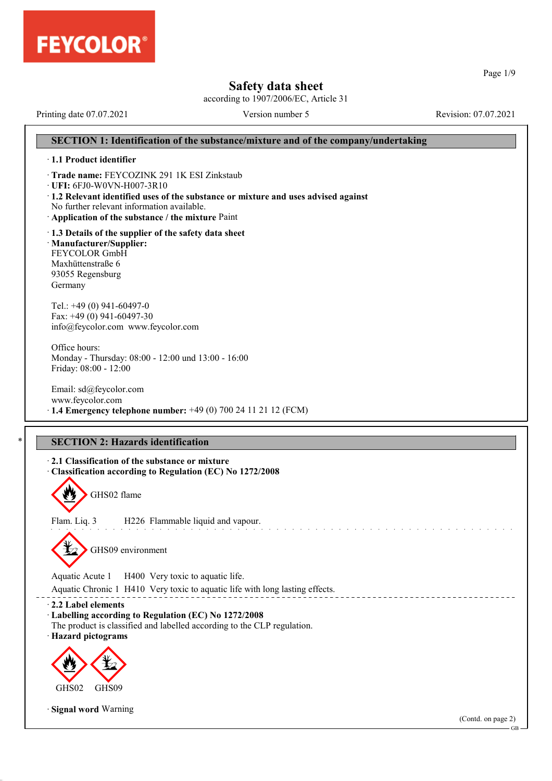

according to 1907/2006/EC, Article 31

Printing date 07.07.2021 Version number 5 Revision: 07.07.2021

# **SECTION 1: Identification of the substance/mixture and of the company/undertaking** · **1.1 Product identifier** · **Trade name:** FEYCOZINK 291 1K ESI Zinkstaub · **UFI:** 6FJ0-W0VN-H007-3R10 · **1.2 Relevant identified uses of the substance or mixture and uses advised against** No further relevant information available. · **Application of the substance / the mixture** Paint · **1.3 Details of the supplier of the safety data sheet** · **Manufacturer/Supplier:** FEYCOLOR GmbH Maxhüttenstraße 6 93055 Regensburg Germany Tel.: +49 (0) 941-60497-0 Fax: +49 (0) 941-60497-30 info@feycolor.com www.feycolor.com Office hours: Monday - Thursday: 08:00 - 12:00 und 13:00 - 16:00 Friday: 08:00 - 12:00 Email: sd@feycolor.com www.feycolor.com · **1.4 Emergency telephone number:** +49 (0) 700 24 11 21 12 (FCM) **SECTION 2: Hazards identification** · **2.1 Classification of the substance or mixture** · **Classification according to Regulation (EC) No 1272/2008** GHS02 flame Flam. Liq. 3 H226 Flammable liquid and vapour. GHS09 environment Aquatic Acute 1 H400 Very toxic to aquatic life. Aquatic Chronic 1 H410 Very toxic to aquatic life with long lasting effects. · **2.2 Label elements** · **Labelling according to Regulation (EC) No 1272/2008** The product is classified and labelled according to the CLP regulation. · **Hazard pictograms de 2000** GHS<sub>02</sub> **designal** GHS<sub>09</sub> · **Signal word** Warning (Contd. on page 2)

Page 1/9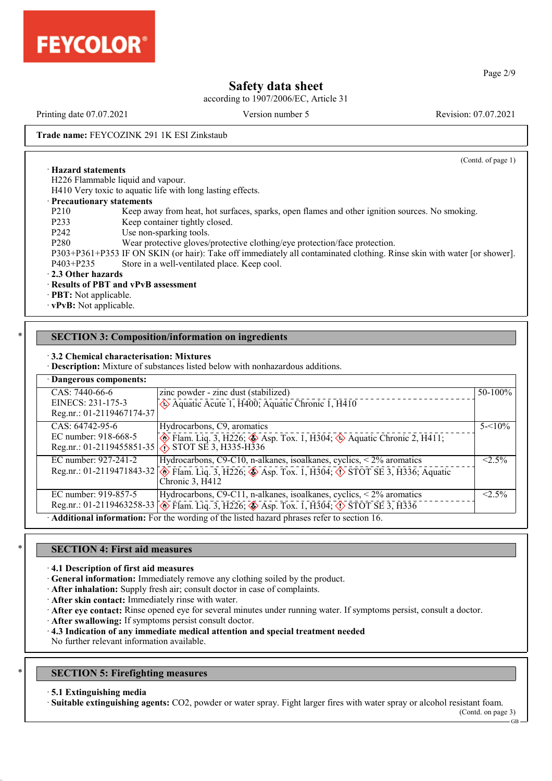

according to 1907/2006/EC, Article 31

Printing date 07.07.2021 Version number 5 Revision: 07.07.2021

(Contd. of page 1)

**Trade name:** FEYCOZINK 291 1K ESI Zinkstaub

· **Hazard statements**

H226 Flammable liquid and vapour.

H410 Very toxic to aquatic life with long lasting effects.

#### · **Precautionary statements**

- P210 Keep away from heat, hot surfaces, sparks, open flames and other ignition sources. No smoking.<br>P233 Keep container tightly closed. Keep container tightly closed.
- P242 Use non-sparking tools.
- P280 Wear protective gloves/protective clothing/eye protection/face protection.

P303+P361+P353 IF ON SKIN (or hair): Take off immediately all contaminated clothing. Rinse skin with water [or shower]. P403+P235 Store in a well-ventilated place. Keep cool.

· **2.3 Other hazards**

#### · **Results of PBT and vPvB assessment**

· **PBT:** Not applicable.

· **vPvB:** Not applicable.

## **SECTION 3: Composition/information on ingredients**

#### · **3.2 Chemical characterisation: Mixtures**

· **Description:** Mixture of substances listed below with nonhazardous additions.

| · Dangerous components:   |                                                                                                                                          |            |
|---------------------------|------------------------------------------------------------------------------------------------------------------------------------------|------------|
| CAS: 7440-66-6            | zinc powder - zinc dust (stabilized)                                                                                                     | $50-100%$  |
| EINECS: 231-175-3         | Aquatic Acute 1, H400; Aquatic Chronic 1, H410                                                                                           |            |
| Reg.nr.: 01-2119467174-37 |                                                                                                                                          |            |
| CAS: 64742-95-6           | Hydrocarbons, C9, aromatics                                                                                                              | $5 - 10\%$ |
| EC number: 918-668-5      | $\circled{}$ Flam. Liq. 3, H226; $\circled{}$ Asp. Tox. 1, H304; $\circled{}$ Aquatic Chronic 2, H411;                                   |            |
|                           | Reg.nr.: 01-2119455851-35 $\left\langle \right\rangle$ STOT SE 3, H335-H336                                                              |            |
| EC number: 927-241-2      | Hydrocarbons, C9-C10, n-alkanes, isoalkanes, cyclics, $\leq$ 2% aromatics                                                                | $< 2.5\%$  |
|                           | Reg.nr.: 01-2119471843-32 3 Flam. Liq. 3, H226; $\bigotimes$ Asp. Tox. 1, H304; $\bigotimes$ STOT SE 3, H336; Aquatic<br>Chronic 3, H412 |            |
| EC number: 919-857-5      | Hydrocarbons, C9-C11, n-alkanes, isoalkanes, cyclics, < 2% aromatics                                                                     | $2.5\%$    |
|                           | Reg.nr.: 01-2119463258-33 $\circledcirc$ Flam. Liq. 3, H226; $\circledcirc$ Asp. Tox. 1, H304; $\circledcirc$ STOT SE 3, H336            |            |
|                           | Additional information: For the wording of the listed hazard phrases refer to section 16.                                                |            |

## **SECTION 4: First aid measures**

#### · **4.1 Description of first aid measures**

- · **General information:** Immediately remove any clothing soiled by the product.
- · **After inhalation:** Supply fresh air; consult doctor in case of complaints.
- · **After skin contact:** Immediately rinse with water.
- · **After eye contact:** Rinse opened eye for several minutes under running water. If symptoms persist, consult a doctor.
- · **After swallowing:** If symptoms persist consult doctor.
- · **4.3 Indication of any immediate medical attention and special treatment needed**
- No further relevant information available.

## **SECTION 5: Firefighting measures**

#### · **5.1 Extinguishing media**

· **Suitable extinguishing agents:** CO2, powder or water spray. Fight larger fires with water spray or alcohol resistant foam.

(Contd. on page 3)

GB

Page 2/9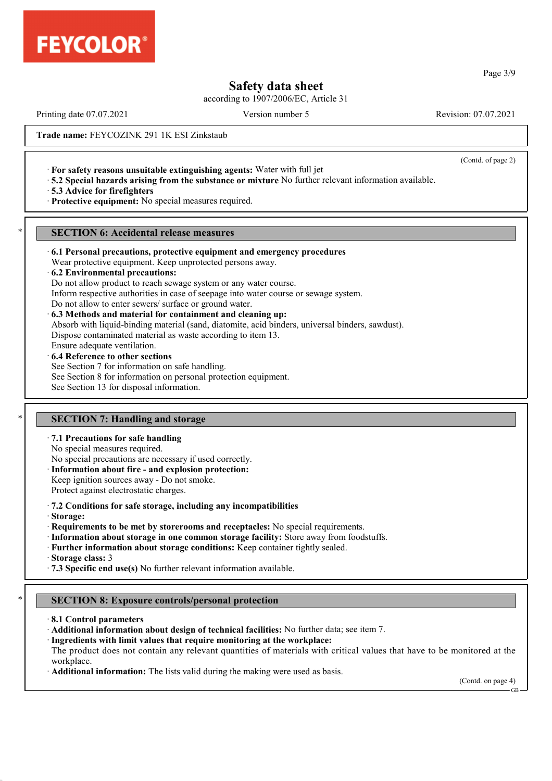

according to 1907/2006/EC, Article 31

Printing date 07.07.2021 Version number 5 Revision: 07.07.2021

(Contd. of page 2)

**Trade name:** FEYCOZINK 291 1K ESI Zinkstaub

- · **For safety reasons unsuitable extinguishing agents:** Water with full jet
- · **5.2 Special hazards arising from the substance or mixture** No further relevant information available.

· **5.3 Advice for firefighters**

· **Protective equipment:** No special measures required.

### **SECTION 6: Accidental release measures**

#### · **6.1 Personal precautions, protective equipment and emergency procedures**

Wear protective equipment. Keep unprotected persons away.

#### · **6.2 Environmental precautions:**

Do not allow product to reach sewage system or any water course.

Inform respective authorities in case of seepage into water course or sewage system.

Do not allow to enter sewers/ surface or ground water.

#### · **6.3 Methods and material for containment and cleaning up:**

Absorb with liquid-binding material (sand, diatomite, acid binders, universal binders, sawdust).

Dispose contaminated material as waste according to item 13.

Ensure adequate ventilation.

## · **6.4 Reference to other sections**

See Section 7 for information on safe handling.

See Section 8 for information on personal protection equipment.

See Section 13 for disposal information.

## **SECTION 7: Handling and storage**

### · **7.1 Precautions for safe handling**

No special measures required.

No special precautions are necessary if used correctly.

- · **Information about fire and explosion protection:**
- Keep ignition sources away Do not smoke.

Protect against electrostatic charges.

- · **7.2 Conditions for safe storage, including any incompatibilities**
- · **Storage:**
- · **Requirements to be met by storerooms and receptacles:** No special requirements.
- · **Information about storage in one common storage facility:** Store away from foodstuffs.
- · **Further information about storage conditions:** Keep container tightly sealed.

· **Storage class:** 3

· **7.3 Specific end use(s)** No further relevant information available.

## \* **SECTION 8: Exposure controls/personal protection**

- · **8.1 Control parameters**
- · **Additional information about design of technical facilities:** No further data; see item 7.
- · **Ingredients with limit values that require monitoring at the workplace:**

The product does not contain any relevant quantities of materials with critical values that have to be monitored at the workplace.

· **Additional information:** The lists valid during the making were used as basis.

(Contd. on page 4)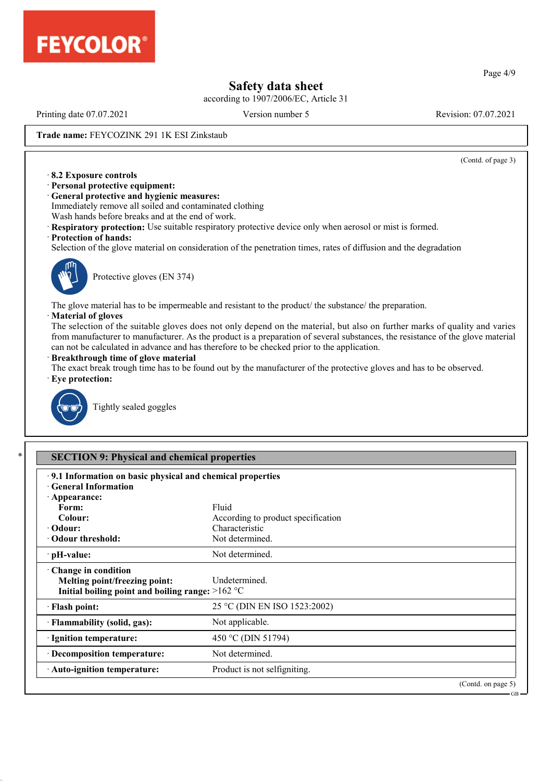

according to 1907/2006/EC, Article 31

Printing date 07.07.2021 Version number 5 Revision: 07.07.2021

(Contd. of page 3)

**Trade name:** FEYCOZINK 291 1K ESI Zinkstaub

- · **8.2 Exposure controls**
- · **Personal protective equipment:**
- · **General protective and hygienic measures:** Immediately remove all soiled and contaminated clothing Wash hands before breaks and at the end of work.
- · **Respiratory protection:** Use suitable respiratory protective device only when aerosol or mist is formed.
- · **Protection of hands:**

Selection of the glove material on consideration of the penetration times, rates of diffusion and the degradation



Protective gloves (EN 374)

The glove material has to be impermeable and resistant to the product/ the substance/ the preparation.

#### · **Material of gloves**

The selection of the suitable gloves does not only depend on the material, but also on further marks of quality and varies from manufacturer to manufacturer. As the product is a preparation of several substances, the resistance of the glove material can not be calculated in advance and has therefore to be checked prior to the application.

#### · **Breakthrough time of glove material**

The exact break trough time has to be found out by the manufacturer of the protective gloves and has to be observed.





Tightly sealed goggles

| .9.1 Information on basic physical and chemical properties<br><b>General Information</b> |                                    |                    |
|------------------------------------------------------------------------------------------|------------------------------------|--------------------|
| · Appearance:                                                                            |                                    |                    |
| Form:                                                                                    | Fluid                              |                    |
| Colour:                                                                                  | According to product specification |                    |
| $\cdot$ Odour:                                                                           | Characteristic                     |                    |
| • Odour threshold:                                                                       | Not determined.                    |                    |
| $\cdot$ pH-value:                                                                        | Not determined.                    |                    |
| Change in condition                                                                      |                                    |                    |
| Melting point/freezing point:                                                            | Undetermined.                      |                    |
| Initial boiling point and boiling range: $>162$ °C                                       |                                    |                    |
| · Flash point:                                                                           | 25 °C (DIN EN ISO 1523:2002)       |                    |
| · Flammability (solid, gas):                                                             | Not applicable.                    |                    |
| · Ignition temperature:                                                                  | 450 °C (DIN 51794)                 |                    |
| · Decomposition temperature:                                                             | Not determined.                    |                    |
| · Auto-ignition temperature:                                                             | Product is not selfigniting.       |                    |
|                                                                                          |                                    | (Contd. on page 5) |

Page 4/9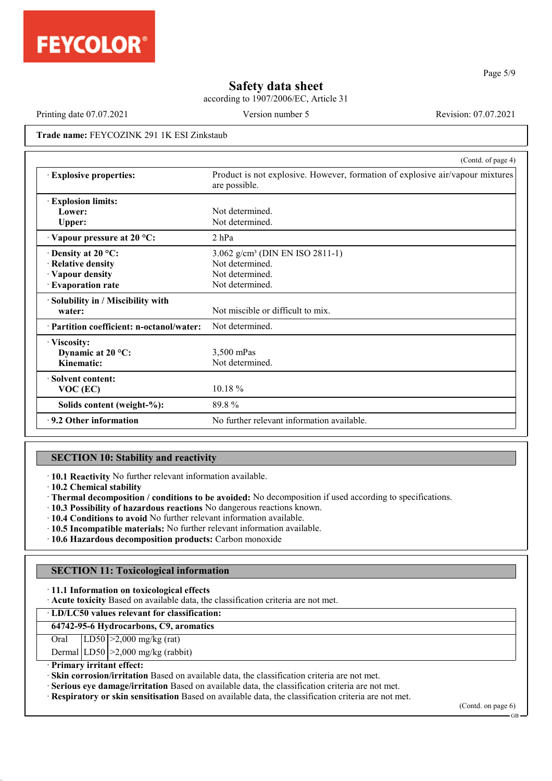

according to 1907/2006/EC, Article 31

Printing date 07.07.2021 Version number 5 Revision: 07.07.2021

Page 5/9

**Trade name:** FEYCOZINK 291 1K ESI Zinkstaub

|                                           | (Contd. of page 4)                                                                             |
|-------------------------------------------|------------------------------------------------------------------------------------------------|
| <b>Explosive properties:</b>              | Product is not explosive. However, formation of explosive air/vapour mixtures<br>are possible. |
| <b>Explosion limits:</b>                  |                                                                                                |
| Lower:                                    | Not determined                                                                                 |
| <b>Upper:</b>                             | Not determined.                                                                                |
| Vapour pressure at 20 °C:                 | $2$ hPa                                                                                        |
| $\cdot$ Density at 20 °C:                 | 3.062 g/cm <sup>3</sup> (DIN EN ISO 2811-1)                                                    |
| · Relative density                        | Not determined.                                                                                |
| · Vapour density                          | Not determined.                                                                                |
| · Evaporation rate                        | Not determined.                                                                                |
| · Solubility in / Miscibility with        |                                                                                                |
| water:                                    | Not miscible or difficult to mix.                                                              |
| · Partition coefficient: n-octanol/water: | Not determined.                                                                                |
| · Viscosity:                              |                                                                                                |
| Dynamic at $20^{\circ}$ C:                | 3,500 mPas                                                                                     |
| Kinematic:                                | Not determined.                                                                                |
| · Solvent content:                        |                                                                                                |
| $VOC$ (EC)                                | $10.18 \%$                                                                                     |
| Solids content (weight-%):                | 89.8%                                                                                          |
| $\cdot$ 9.2 Other information             | No further relevant information available.                                                     |

## **SECTION 10: Stability and reactivity**

· **10.1 Reactivity** No further relevant information available.

· **10.2 Chemical stability**

- · **Thermal decomposition / conditions to be avoided:** No decomposition if used according to specifications.
- · **10.3 Possibility of hazardous reactions** No dangerous reactions known.
- · **10.4 Conditions to avoid** No further relevant information available.
- · **10.5 Incompatible materials:** No further relevant information available.
- · **10.6 Hazardous decomposition products:** Carbon monoxide

## **SECTION 11: Toxicological information**

- · **11.1 Information on toxicological effects**
- · **Acute toxicity** Based on available data, the classification criteria are not met.

· **LD/LC50 values relevant for classification:**

#### **64742-95-6 Hydrocarbons, C9, aromatics**

Oral LD50 >2,000 mg/kg (rat)

Dermal  $|LD50| > 2,000$  mg/kg (rabbit)

· **Primary irritant effect:**

· **Skin corrosion/irritation** Based on available data, the classification criteria are not met.

· **Serious eye damage/irritation** Based on available data, the classification criteria are not met.

· **Respiratory or skin sensitisation** Based on available data, the classification criteria are not met.

(Contd. on page 6)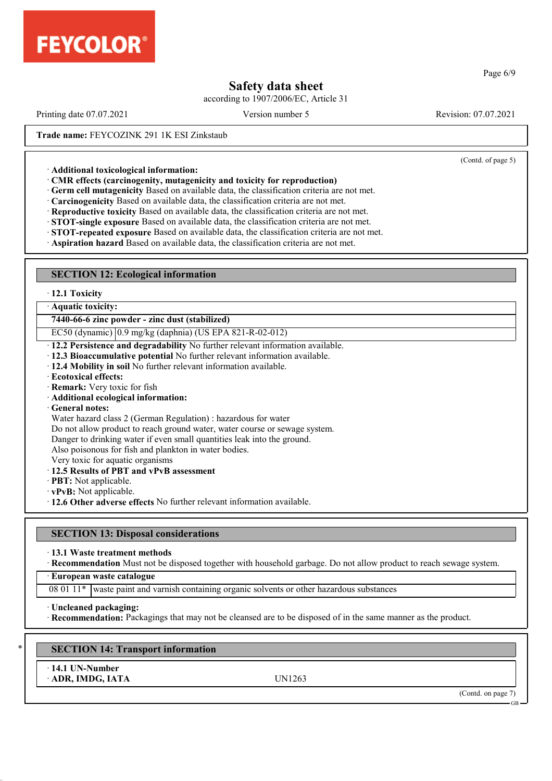

according to 1907/2006/EC, Article 31

Printing date 07.07.2021 Version number 5 Revision: 07.07.2021

(Contd. of page 5)

**Trade name:** FEYCOZINK 291 1K ESI Zinkstaub

· **Additional toxicological information:**

· **CMR effects (carcinogenity, mutagenicity and toxicity for reproduction)**

· **Germ cell mutagenicity** Based on available data, the classification criteria are not met.

· **Carcinogenicity** Based on available data, the classification criteria are not met.

· **Reproductive toxicity** Based on available data, the classification criteria are not met.

· **STOT-single exposure** Based on available data, the classification criteria are not met.

· **STOT-repeated exposure** Based on available data, the classification criteria are not met.

· **Aspiration hazard** Based on available data, the classification criteria are not met.

## **SECTION 12: Ecological information**

· **12.1 Toxicity**

· **Aquatic toxicity:**

**7440-66-6 zinc powder - zinc dust (stabilized)**

EC50 (dynamic) 0.9 mg/kg (daphnia) (US EPA 821-R-02-012)

· **12.2 Persistence and degradability** No further relevant information available.

· **12.3 Bioaccumulative potential** No further relevant information available.

· **12.4 Mobility in soil** No further relevant information available.

· **Ecotoxical effects:**

· **Remark:** Very toxic for fish

· **Additional ecological information:**

· **General notes:**

Water hazard class 2 (German Regulation) : hazardous for water

Do not allow product to reach ground water, water course or sewage system.

Danger to drinking water if even small quantities leak into the ground.

Also poisonous for fish and plankton in water bodies.

Very toxic for aquatic organisms

· **12.5 Results of PBT and vPvB assessment**

· **PBT:** Not applicable.

· **vPvB:** Not applicable.

· **12.6 Other adverse effects** No further relevant information available.

## **SECTION 13: Disposal considerations**

· **13.1 Waste treatment methods**

· **Recommendation** Must not be disposed together with household garbage. Do not allow product to reach sewage system.

· **European waste catalogue**

 $080111*$  waste paint and varnish containing organic solvents or other hazardous substances

· **Uncleaned packaging:**

· **Recommendation:** Packagings that may not be cleansed are to be disposed of in the same manner as the product.

**SECTION 14: Transport information** 

· **14.1 UN-Number**

· **ADR, IMDG, IATA** UN1263

(Contd. on page 7)

#### GB

#### Page 6/9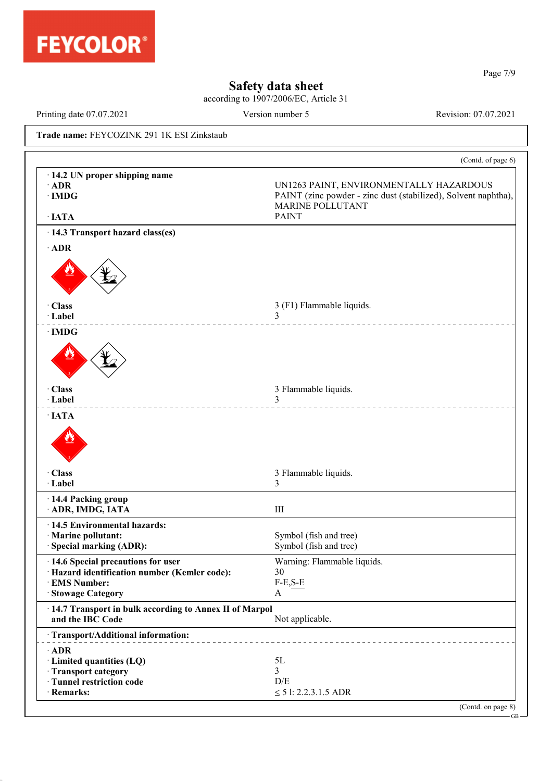

according to 1907/2006/EC, Article 31

Printing date 07.07.2021 Version number 5 Revision: 07.07.2021

Page 7/9

GB

**Trade name:** FEYCOZINK 291 1K ESI Zinkstaub

|                                                                              | (Contd. of page 6)                                                                                                                   |
|------------------------------------------------------------------------------|--------------------------------------------------------------------------------------------------------------------------------------|
| · 14.2 UN proper shipping name<br>$\cdot$ ADR<br>$\cdot$ IMDG                | UN1263 PAINT, ENVIRONMENTALLY HAZARDOUS<br>PAINT (zinc powder - zinc dust (stabilized), Solvent naphtha),<br><b>MARINE POLLUTANT</b> |
| $\cdot$ IATA                                                                 | <b>PAINT</b>                                                                                                                         |
| · 14.3 Transport hazard class(es)                                            |                                                                                                                                      |
| $\cdot$ ADR                                                                  |                                                                                                                                      |
|                                                                              |                                                                                                                                      |
| · Class<br>· Label                                                           | 3 (F1) Flammable liquids.<br>3<br><u>.</u>                                                                                           |
| $\cdot$ IMDG                                                                 |                                                                                                                                      |
|                                                                              |                                                                                                                                      |
| · Class<br>· Label                                                           | 3 Flammable liquids.<br>3                                                                                                            |
| $\cdot$ IATA                                                                 |                                                                                                                                      |
|                                                                              |                                                                                                                                      |
| · Class<br>· Label                                                           | 3 Flammable liquids.<br>3                                                                                                            |
|                                                                              |                                                                                                                                      |
| · 14.4 Packing group<br>· ADR, IMDG, IATA                                    | III                                                                                                                                  |
| · 14.5 Environmental hazards:                                                |                                                                                                                                      |
| · Marine pollutant:                                                          | Symbol (fish and tree)                                                                                                               |
| · Special marking (ADR):                                                     | Symbol (fish and tree)                                                                                                               |
| · 14.6 Special precautions for user                                          | Warning: Flammable liquids.                                                                                                          |
| Hazard identification number (Kemler code):                                  | 30                                                                                                                                   |
| <b>EMS Number:</b>                                                           | $F-E, S-E$                                                                                                                           |
| <b>Stowage Category</b>                                                      | $\mathbf{A}$                                                                                                                         |
| · 14.7 Transport in bulk according to Annex II of Marpol<br>and the IBC Code | Not applicable.                                                                                                                      |
| · Transport/Additional information:                                          |                                                                                                                                      |
|                                                                              |                                                                                                                                      |
| $\cdot$ ADR                                                                  | 5L                                                                                                                                   |
| · Limited quantities (LQ)                                                    | 3                                                                                                                                    |
| · Transport category<br>· Tunnel restriction code                            | D/E                                                                                                                                  |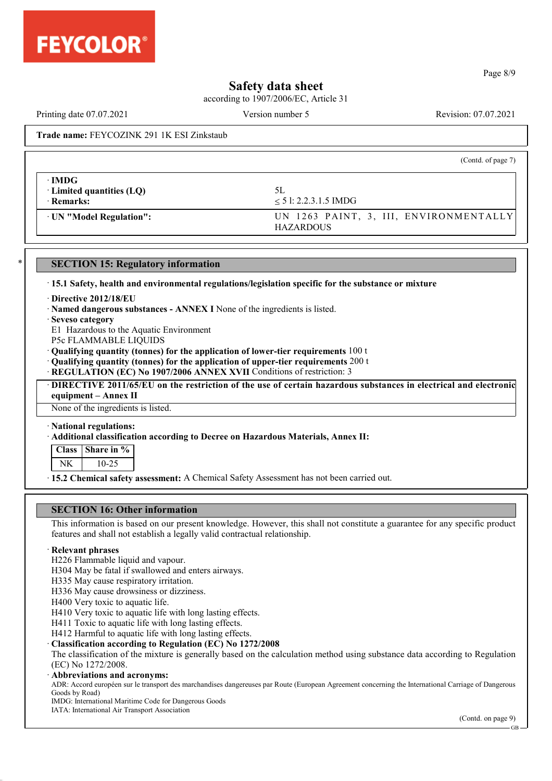

according to 1907/2006/EC, Article 31

(Contd. of page 7)

## **Trade name:** FEYCOZINK 291 1K ESI Zinkstaub

| ∙IMDG<br>$\cdot$ Limited quantities (LQ)<br>$\cdot$ Remarks: | 5L<br>$< 5$ l: 2.2.3.1.5 IMDG                              |
|--------------------------------------------------------------|------------------------------------------------------------|
| · UN "Model Regulation":                                     | UN 1263 PAINT, 3, III, ENVIRONMENTALLY<br><b>HAZARDOUS</b> |

#### **SECTION 15: Regulatory information**

· **15.1 Safety, health and environmental regulations/legislation specific for the substance or mixture**

- · **Directive 2012/18/EU**
- · **Named dangerous substances ANNEX I** None of the ingredients is listed.
- · **Seveso category**

E1 Hazardous to the Aquatic Environment

- P5c FLAMMABLE LIQUIDS
- · **Qualifying quantity (tonnes) for the application of lower-tier requirements** 100 t

· **Qualifying quantity (tonnes) for the application of upper-tier requirements** 200 t

· **REGULATION (EC) No 1907/2006 ANNEX XVII** Conditions of restriction: 3

· **DIRECTIVE 2011/65/EU on the restriction of the use of certain hazardous substances in electrical and electronic equipment – Annex II**

None of the ingredients is listed.

· **National regulations:**

#### · **Additional classification according to Decree on Hazardous Materials, Annex II:**

| ISS. | l Share in %<br>7n |
|------|--------------------|
|      |                    |

· **15.2 Chemical safety assessment:** A Chemical Safety Assessment has not been carried out.

## **SECTION 16: Other information**

This information is based on our present knowledge. However, this shall not constitute a guarantee for any specific product features and shall not establish a legally valid contractual relationship.

## · **Relevant phrases**

- H226 Flammable liquid and vapour.
- H304 May be fatal if swallowed and enters airways.
- H335 May cause respiratory irritation.
- H336 May cause drowsiness or dizziness.
- H400 Very toxic to aquatic life.
- H410 Very toxic to aquatic life with long lasting effects.
- H411 Toxic to aquatic life with long lasting effects.
- H412 Harmful to aquatic life with long lasting effects.

### · **Classification according to Regulation (EC) No 1272/2008**

The classification of the mixture is generally based on the calculation method using substance data according to Regulation (EC) No 1272/2008.

#### · **Abbreviations and acronyms:**

ADR: Accord européen sur le transport des marchandises dangereuses par Route (European Agreement concerning the International Carriage of Dangerous Goods by Road)

IMDG: International Maritime Code for Dangerous Goods

IATA: International Air Transport Association